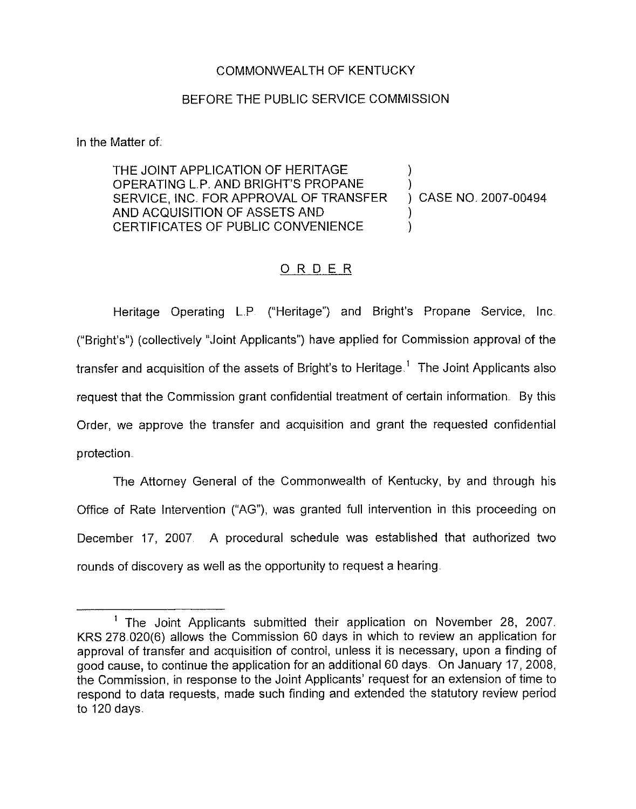## COMMONWEALTH OF KENTUCKY

## BEFORE THE PUBLIC SERVICE COMMISSION

In the Matter of.

THE JOINT APPLICATION OF HERITAGE OPERATING L.P, AND BRIGHT'S PROPANE SERVICE, iNC. FOR APPROVAL OF TRANSFER AND ACQUISITION OF ASSETS AND CERTIFICATES OF PUBLIC CONVENIENCE ) ) ) CASE NO. 2007-00494 ) )

## ORDER

Heritage Operating L.P. ("Heritage") and Bright's Propane Service, Inc ("Bright's") (collectively "Joint Applicants" ) have applied for Commission approval of the transfer and acquisition of the assets of Bright's to Heritage.<sup>1</sup> The Joint Applicants also request that the Commission grant confidential treatment of certain information. By this Order, we approve the transfer and acquisition and grant the requested confidential protection.

The Attorney General of the Commonwealth of Kentucky, by and through his Office of Rate Intervention ("AG"), was granted full intervention in this proceeding on December 17, 2007. A procedural schedule was established that authorized two rounds of discovery as well as the opportunity to request a hearing

 $<sup>1</sup>$  The Joint Applicants submitted their application on November 28, 2007.</sup> KRS 278.020(6) allows the Commission 60 days in which to review an application for approval of transfer and acquisition of control, unless it is necessary, upon a finding of good cause, to continue the application for an additional 60 days. On January 17, 2008, the Commission, in response to the Joint Applicants' request for an extension of time to respond to data requests, made such finding and extended the statutory review period to 120 days.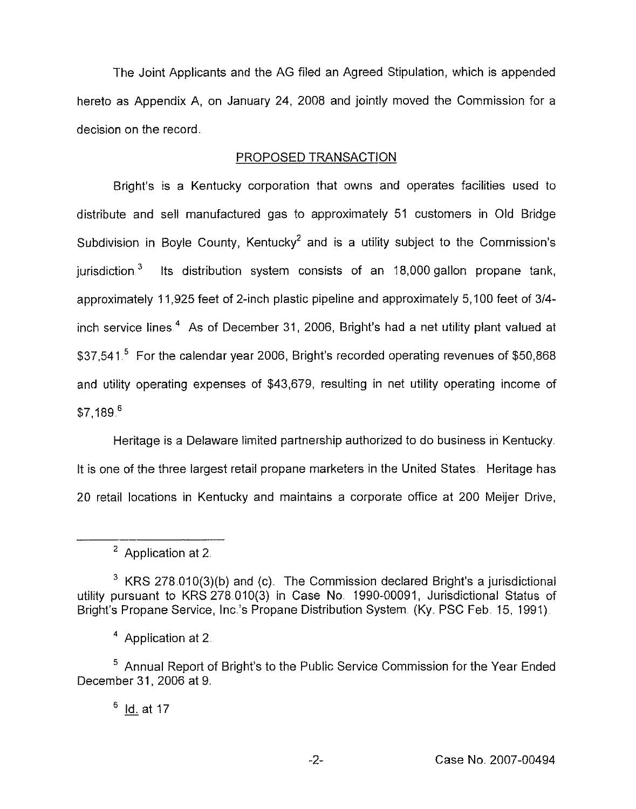The Joint Applicants and the AG filed an Agreed Stipulation, which is appended hereto as Appendix A, on January 24, 2008 and jointly moved the Commission for a decision on the record.

## PROPOSED TRANSACTION

Bright's is a Kentucky corporation that owns and operates facilities used to distribute and sell manufactured gas to approximately 51 customers in Old Bridge Subdivision in Boyle County, Kentucky<sup>2</sup> and is a utility subject to the Commission's jurisdiction.<sup>3</sup> Its distribution system consists of an 18,000 gallon propane tank, approximately 11,925 feet of 2-inch plastic pipeline and approximately 5,100 feet of 3/4inch service lines.<sup>4</sup> As of December 31, 2006, Bright's had a net utility plant valued at \$37,541.<sup>5</sup> For the calendar year 2006, Bright's recorded operating revenues of \$50,868 and utility operating expenses of \$43,679, resulting in net utility operating income of  $$7.189<sup>6</sup>$ 

Heritage is a Delaware limited partnership authorized to do business in Kentucky. It is one of the three largest retail propane marketers in the United States. Heritage has 20 retail locations in Kentucky and maintains a corporate office at 200 Meijer Drive,

 $3$  KRS 278 010(3)(b) and (c). The Commission declared Bright's a jurisdictional utility pursuant to KRS 278 010(3) in Case No, 1990-00091, Jurisdictional Status of Bright's Propane Service, Inc.'s Propane Distribution System. (Ky. PSC Feb. 15, 1991).

<sup>4</sup> Application at 2.

<sup>5</sup> Annual Report of Bright's to the Public Service Commission for the Year Ended December 31, 2006 at 9.

 $6$  Id. at 17

<sup>&</sup>lt;sup>2</sup> Application at 2.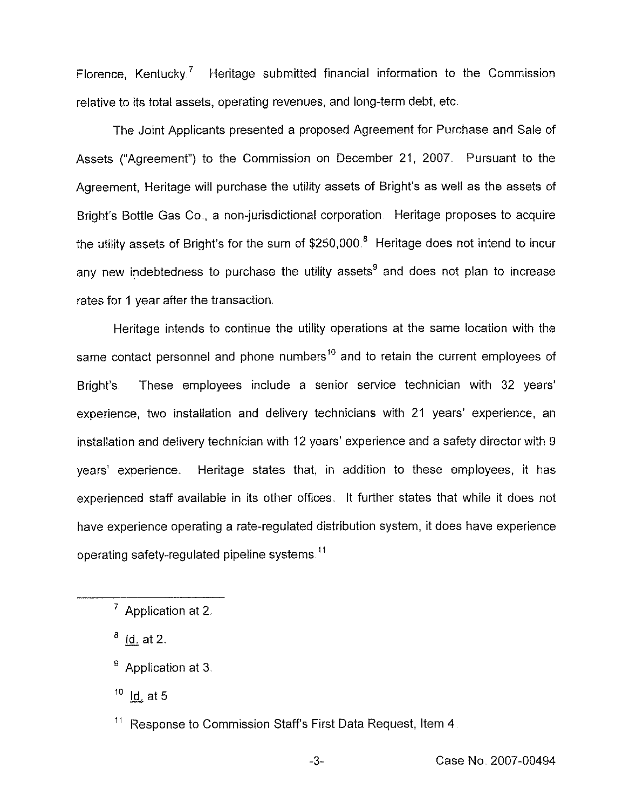Florence, Kentucky.<sup>7</sup> Heritage submitted financial information to the Commission relative to its total assets, operating revenues, and long-term debt, etc.

The Joint Applicants presented a proposed Agreement for Purchase and Saic of Assets ("Agreement") to the Commission on December 21, 2007. Pursuant to the Agreement, Heritage will purchase the utility assets of Bright's as well as the assets of Bright's Bottle Gas Co., a non-jurisdictional corporation. Heritage proposes to acquire the utility assets of Bright's for the sum of  $$250,000<sup>8</sup>$  Heritage does not intend to incur any new indebtedness to purchase the utility assets<sup>9</sup> and does not plan to increase rates for <sup>1</sup> year after the transaction

Heritage intends to continue the utility operations at the same location with the same contact personnel and phone numbers<sup>10</sup> and to retain the current employees of Bright's. These employees include a senior service technician with 32 years' two installation and delivery technicians with 21 years' experience, ar installation and delivery technician with 12 years' experience and a safety director with 9 years' experience. Heritage states that, in addition to these employees, it has experienced staff available in its other offices. It further states that while it does not have experience operating a rate-regulated distribution system, it does have experience operating safety-regulated pipeline systems."

 $8$  Id. at 2.

 $10$  Id. at 5

 $<sup>7</sup>$  Application at 2.</sup>

<sup>&</sup>lt;sup>9</sup> Application at 3.

<sup>&</sup>lt;sup>11</sup> Response to Commission Staff's First Data Request, Item 4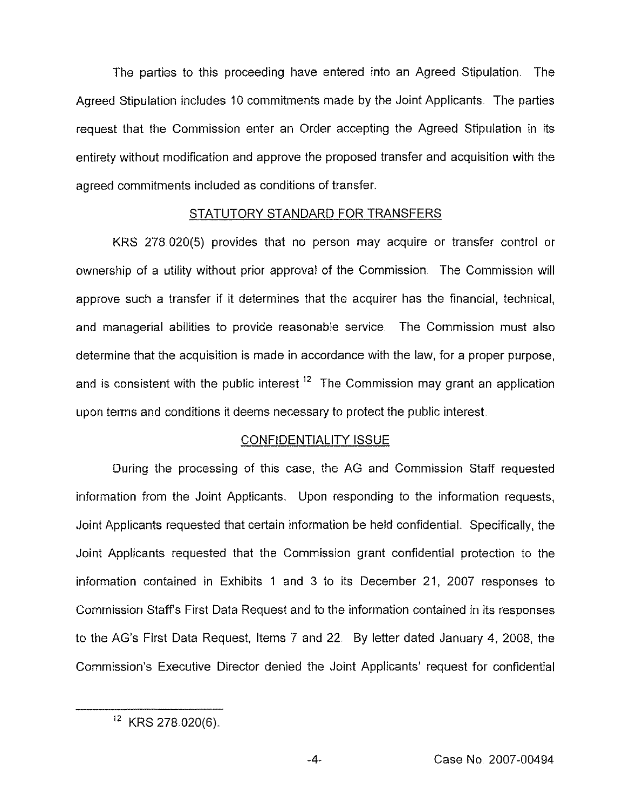The parties to this proceeding have entered into an Agreed Stipulation. The Agreed Stipulation includes 10 commitments made by the Joint Applicants. The parties request that the Commission enter an Order accepting the Agreed Stipulation in its entirety without modification and approve the proposed transfer and acquisition with the agreed commitments included as conditions of transfer.

## STATUTORY STANDARD FOR TRANSFERS

KRS 278 020(5) provides that no person may acquire or transfer control or ownership of a utility without prior approval of the Commission The Commission will approve such a transfer if it determines that the acquirer has the financial, technical, and managerial abilities to provide reasonable service The Commission must also determine that the acquisition is made in accordance with the law, for a proper purpose, and is consistent with the public interest.<sup>12</sup> The Commission may grant an application upon terms and conditions it deems necessary to protect the public interest.

## CONFIDENTIALITY ISSUE

During the processing of this case, the AG and Commission Staff requested information from the Joint Applicants. Upon responding to the information requests, Joint Applicants requested that certain information be held confidential, Specifically, the Joint Applicants requested that the Commission grant confidential protection to the information contained in Exhibits <sup>1</sup> and 3 to its December 21, 2007 responses to Commission Staff's First Data Request and to the information contained in its responses to the AG's First Data Request, Items 7 and 22. By letter dated January 4, 2008, the Commission's Executive Director denied the Joint Applicants' request for confidential

 $12$  KRS 278.020(6).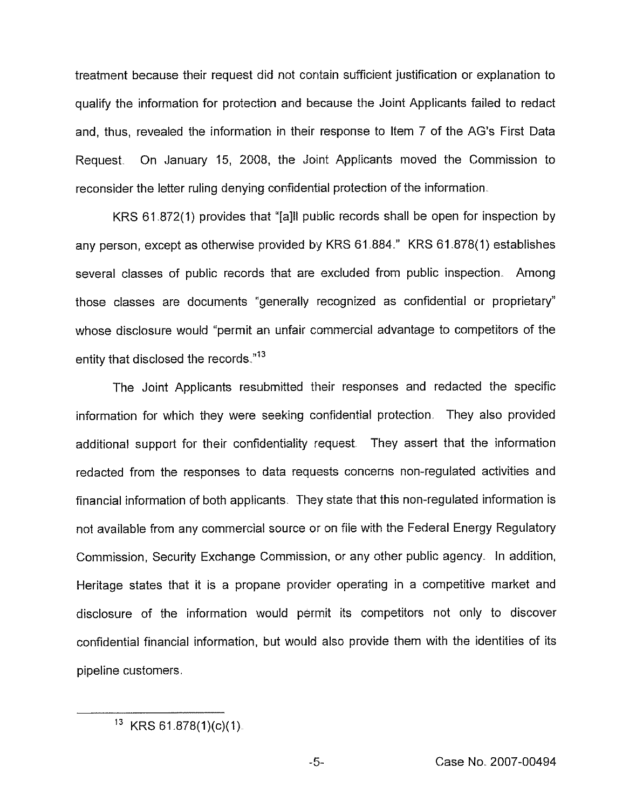treatment because their request did not contain sufficient justification or explanation to qualify the information for protection and because the Joint Applicants failed to redact and, thus, revealed the information in their response to Item 7 of the AG's First Data Request. On January 15, 2008, the Joint Applicants moved the Commission to reconsider the letter ruling denying confidential protection of the information.

KRS 61.872(1) provides that "[a]II public records shall be open for inspection by any person, except as otherwise provided by KRS 61.884." KRS 61.878(1) establishes several classes of public records that are excluded from public inspection. Among those classes are documents "generally recognized as confidential or proprietary" whose disclosure would "permit an unfair commercial advantage to competitors of the entity that disclosed the records."<sup>13</sup>

The Joint Applicants resubmitted their responses and redacted the specific information for which they were seeking confidential protection, They also provided additional support for their confidentiality request. They assert that the information redacted from the responses to data requests concerns non-regulated activities and financial information of both applicants. They state that this non-regulated information is not available from any commercial source or on file with the Federal Energy Regulatory Commission, Security Exchange Commission, or any other public agency. In addition, Heritage states that it is a propane provider operating in a competitive market and disclosure of the information would permit its competitors not only to discover confidential financial information, but would also provide them with the identities of its pipeline customers

 $13$  KRS 61.878(1)(c)(1).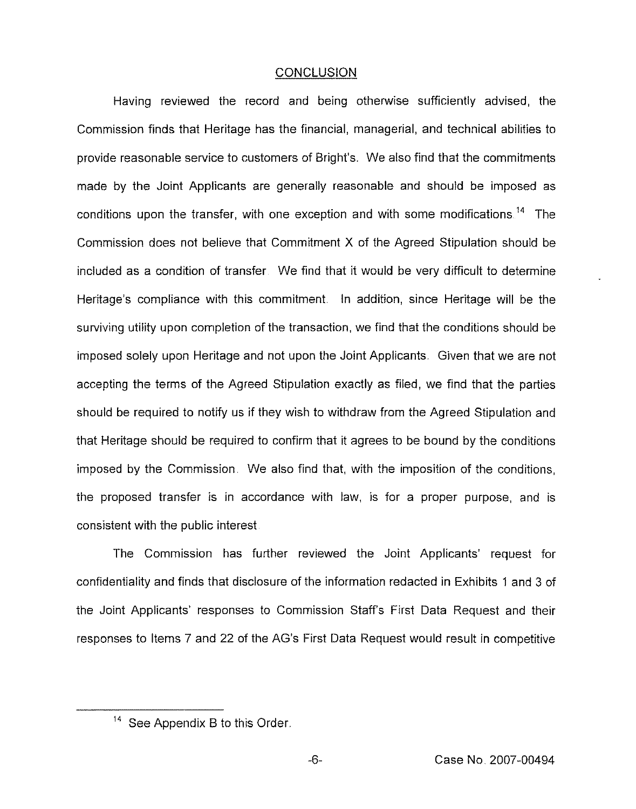## **CONCLUSION**

Having reviewed the record and being otherwise sufficiently advised, the Commission finds that Heritage has the financial, managerial, and technical abilities to provide reasonable service to customers of Bright's. We also find that the commitments made by the Joint Applicants are generally reasonable and should be imposed as conditions upon the transfer, with one exception and with some modifications.<sup>14</sup> The Commission does not believe that Commitment X of the Agreed Stipulation should be included as a condition of transfer. We find that it would be very difficult to determine Heritage's compliance with this commitment. In addition, since Heritage will be the surviving utility upon completion of the transaction, we find that the conditions should be imposed solely upon Heritage and not upon the Joint Applicants. Given that we are not accepting the terms of the Agreed Stipulation exactly as filed, we find that the parties should be required to notify us if they wish to withdraw from the Agreed Stipulation and that Heritage should be required to confirm that it agrees to be bound by the conditions imposed by the Commission. We also find that, with the imposition of the conditions, the proposed transfer is in accordance with law, is for a proper purpose, and is consistent with the public interest

The Commission has further reviewed the Joint Applicants' request for confidentiality and finds that disclosure of the information redacted in Exhibits <sup>1</sup> and 3 of the Joint Applicants' responses to Commission Staff's First Data Request and their responses to Items 7 and 22 of the AG's First Data Request would result in competitive

<sup>&</sup>quot; See Appendix B to this Order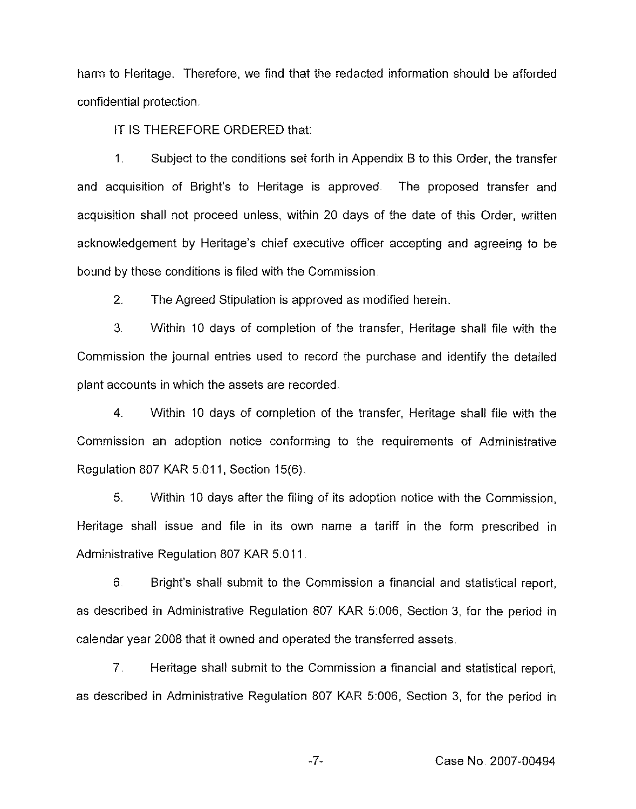harm to Heritage. Therefore, we find that the redacted information should be afforded confidential protection.

IT IS THEREFORE ORDERED that.

<sup>1</sup> Subject to the conditions set forth in Appendix B to this Order, the transfer and acquisition of Bright's to Heritage is approved The proposed transfer and acquisition shall not proceed unless, within 20 days of the date of this Order, written acknowledgement by Heritage's chief executive officer accepting and agreeing to be bound by these conditions is filed with the Commission

2 The Agreed Stipulation is approved as modified herein.

3 Within 10 days of completion of the transfer, Heritage shall file with the Commission the journal entries used to record the purchase and identify the detailed plant accounts in which the assets are recorded.

4 Within 10 days of completion of the transfer, Heritage shall file with the Commission an adoption notice conforming to the requirements of Administrative Regulation 807 KAR 5:011, Section 15(6).

5 Within 10 days after the filing of its adoption notice with the Commission, Heritage shall issue and file in its own name a tariff in the form prescribed in Administrative Regulation 807 KAR 5.011

6 Bright's shall submit to the Commission a financial and statistical report, as described in Administrative Regulation 807 KAR 5.006, Section 3, for the period in calendar year 2008 that it owned and operated the transferred assets.

7 Heritage shall submit to the Commission a financial and statistical report, as described in Administrative Regulation 807 KAR 5.006, Section 3, for the period in

 $-7-$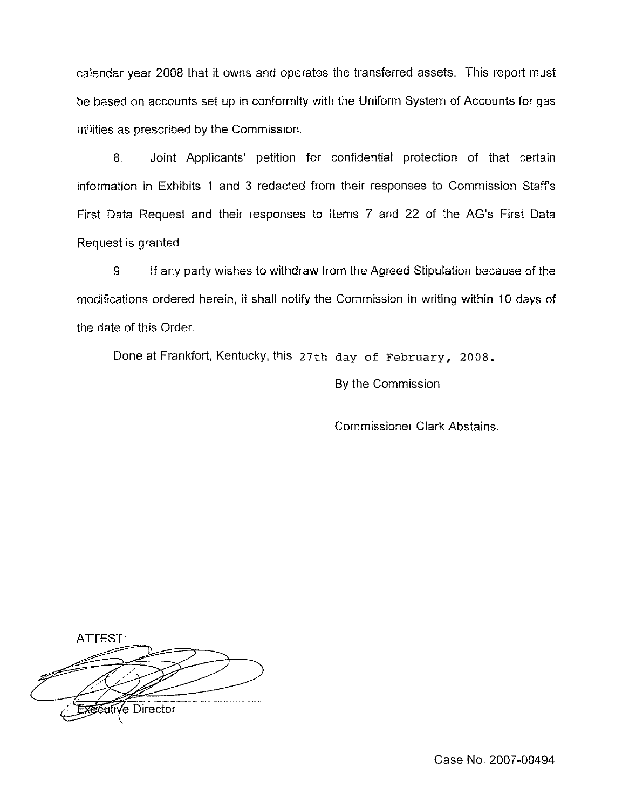calendar year 2008 that it owns and operates the transferred assets. This report must be based on accounts set up in conformity with the Uniform System of Accounts for gas utilities as prescribed by the Commission

8. Joint Applicants' petition for confidential protection of that certain information in Exhibits <sup>I</sup> and 3 redacted from their responses to Commission Staff's First Data Request and their responses to Items 7 and 22 of the AG's First Data Request is granted

9. If any party wishes to withdraw from the Agreed Stipulation because of the modifications ordered herein, it shall notify the Commission in writing within 10 days of the date of this Order

Done at Frankfort, Kentucky, this 27th day of February, 2008.

By the Commission

Commissioner Clark Abstains.

ATTEST. √e Director

Case No, 2007-00494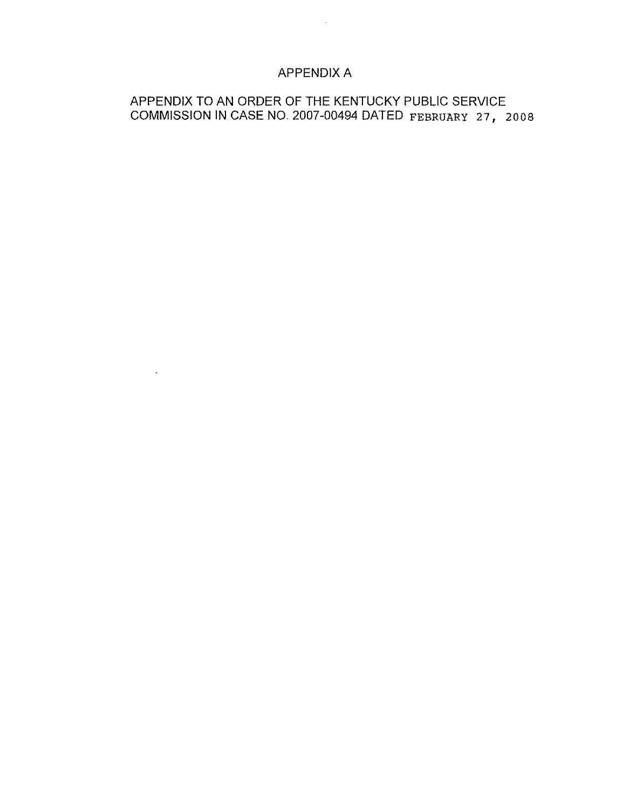# APPENDIX A

 $\sim$ 

 $\sim 10^7$ 

# APPENDIX TO AN ORDER OF THE KENTUCKY PUBLIC SERVICE COMMISSION IN CASE NO. 2007-00494 DATED FEBRUARY 27, 2008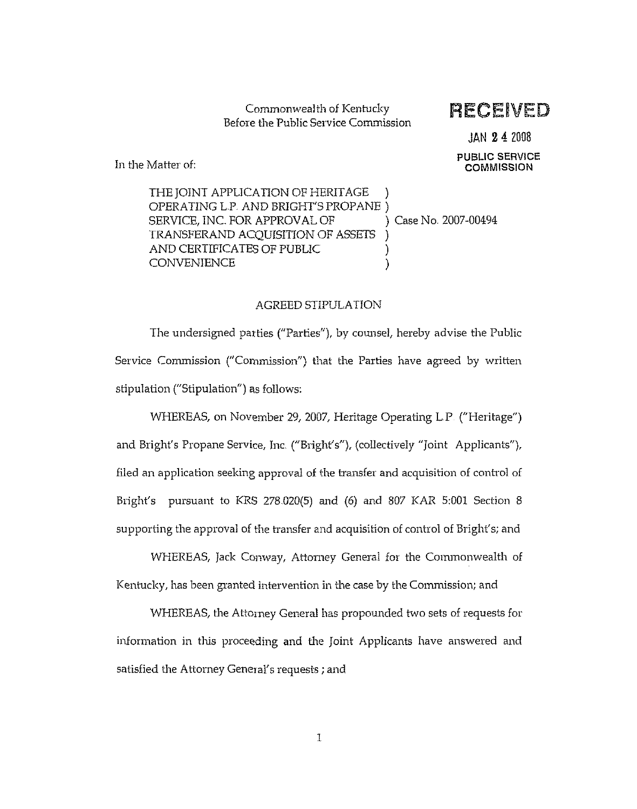Commonwealth of Kentucky Before the Public Service Commission

RECEIVED

JAN 24 2008 PUBLIC SERVICE **COMMISSION** 

In the Matter of:

THE JOINT APPLICATION OF HERITAGE OPERATING L.P. AND BRIGHT'S PROPANE )<br>SERVICE, INC. FOR APPROVAL OF (3) Case No. 2007-00494 SERVICE, INC. FOR APPROVAL OF TRANSFERAND ACQUISITION OF ASSETS ) AND CERTIFICATES OF PUBLIC ) **CONVENIENCE** 

#### AGREED STIPULATION

The undersigned parties ("Parties"), by counsel, hereby advise the Public Service Commission ("Commission") that the Parties have agreed by written stipulation ("Stipulation") as follows:

WHEREAS, on November 29, 2007, Heritage Operating L.P. ("Heritage") and Bright's Propane Service, Inc. ("Bright's"), (collectively "Joint Applicants"), filed an application seeking approval of the transfer and acquisition of control of Bright's pursuant to KRS 278.020(5) and (6) and 807 KAR 5:001 Section 8 supporting the approval of the transfer and acquisition of control of Bright's; and

WHEREAS, Jack Conway, Attorney General for the Commonwealth of Kentucky, has been granted intervention in the case by the Commission; and

WHEREAS, the Attorney General has propounded two sets of requests for information in this proceeding and the Joint Applicants have answered and satisfied the Attorney General's requests; and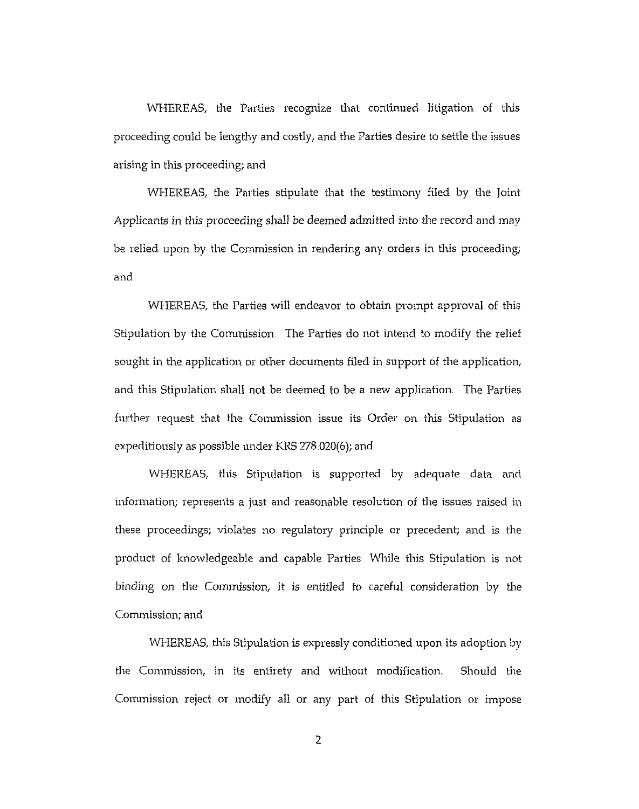WHEREAS, the Parties recognize that continued litigation of this proceeding could be lengthy and costly, and the Parties desire to settle the issues arising in this proceeding; and

WHEREAS, the Parties stipulate that the testimony filed by the ]oint Applicants in this proceeding shall be deemed admitted into the record and may be relied upon by the Commission in rendering any orders in this proceeding; and

WHEREAS, the Parties will endeavor to obtain prompt approval of this Stipulation by the Commission The Parties do not intend to modify the relief sought in the application or other documents filed in support of the application, and this Stipulation shall not be deemed to be a new application, The Parties further request that the Commission issue its Order on this Stipulation as expeditiously as possible under KRS 278 020(6); and

WHEREAS, this Stipulation is supported by adequate data and information; represents a just and reasonable resolution of the issues raised in these proceedings; violates no regulatory principle or precedent; and is the product of knowledgeable and capable Parties. While this Stipulation is not binding on the Commission, it is entitled to careful consideration by the Conunission; and

WHEREAS, this Stipulation is expressly conditioned upon its adoption by the Commission, in its entirety and without modification. Should the Conunission reject or modify all or any part of this Stipulation or impose

 $\overline{2}$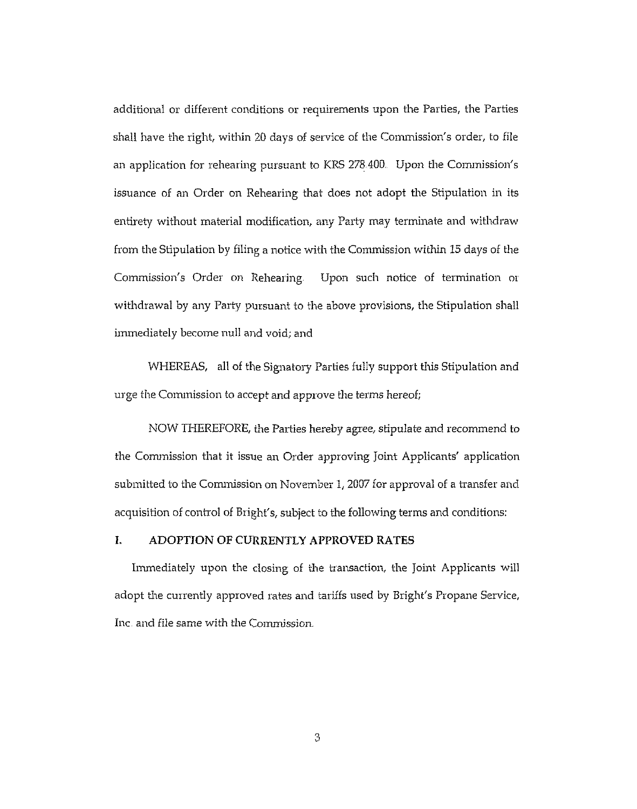additional or different conditions or requirements upon the Parties, the Parties shall have the right, within 20 days of service of the Conunission's order, to file an application for rehearing pursuant to KRS 278400. Upon the Conunission's issuance of an Order on Rehearing that does not adopt the Stipulation in its entirety without material modification, any Party may terminate and withdraw from the Stipulation by filing a notice with the Commission within l5 days of the Commission's Order on Rehearing Upon such notice of termination or withdrawal by any Party pursuant to the above provisions, the Stipulation shall inunediately become null and void; and

WHEREAS, all of the Signatory Parties fully support this Stipulation and urge the Conunission to accept and approve the terms hereof;

NOW THEREFORE, the Parties hereby agree, stipulate and recommend to the Commission that it issue an Order approving Joint Applicants' application submitted to the Conunission on November I, 2007 for approval of a transfer and acquisition of control of Bright's, subject to the following terms and conditions:

## I. ADOPTION OF CURRENTLY APPROVED RATES

Immediately upon the closing of the transaction, the Joint Applicants will adopt the currently approved rates and tariffs used by Bright's Propane Service, Inc and file same with the Commission

3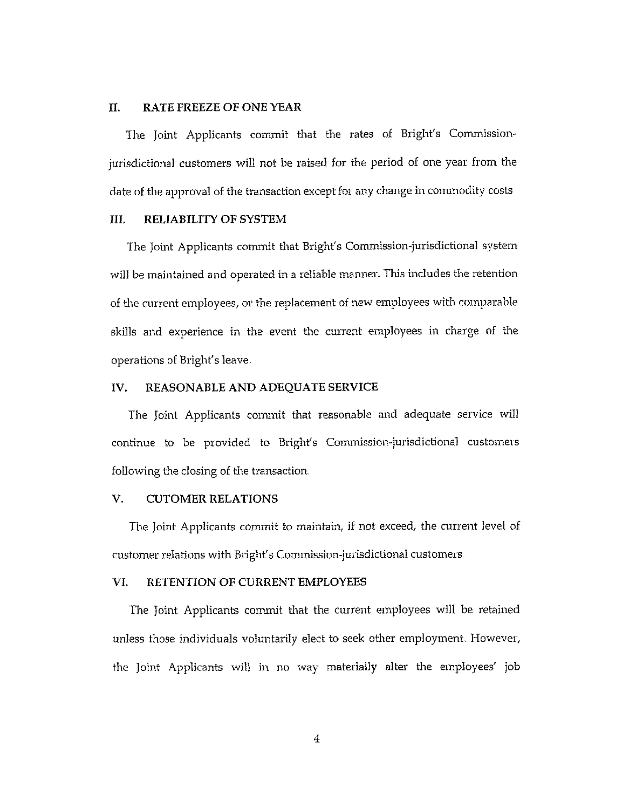#### II. RATE FREEZE OF ONE YEAR

The Joint Applicants commit that the rates of Bright's Commissionjurisdictional customers will not be raised for the period of one year from the date of the approval of the transaction except for any change in conunodity costs

#### III. RELIABILITY OF SYSTEM

The Joint Applicants commit that Bright's Commission-jurisdictional system will be maintained and operated in a reliable manner. This includes the retention of the current employees, or the replacement of new employees with comparable skills and experience in the event the current employees in charge of the operations of Bright's leave

#### IV. REASONABLE AND ADEQUATE SERVICE

The Joint Applicants commit that reasonable and adequate service will continue to be provided to Bright's Commission-jurisdictional customers following the closing of the transaction.

#### V. CUTOMER RELATIONS

The Joint Applicants commit to maintain, if not exceed, the current level of customer relations with Bright's Commission-jurisdictional customers

#### VI. RETENTION OF CURRENT EMPLOYEES

The Joint Applicants commit that the current employees will be retained unless those individuals voluntarily elect to seek other employment, However, the Joint Applicants will in no way materially alter the employees' job

4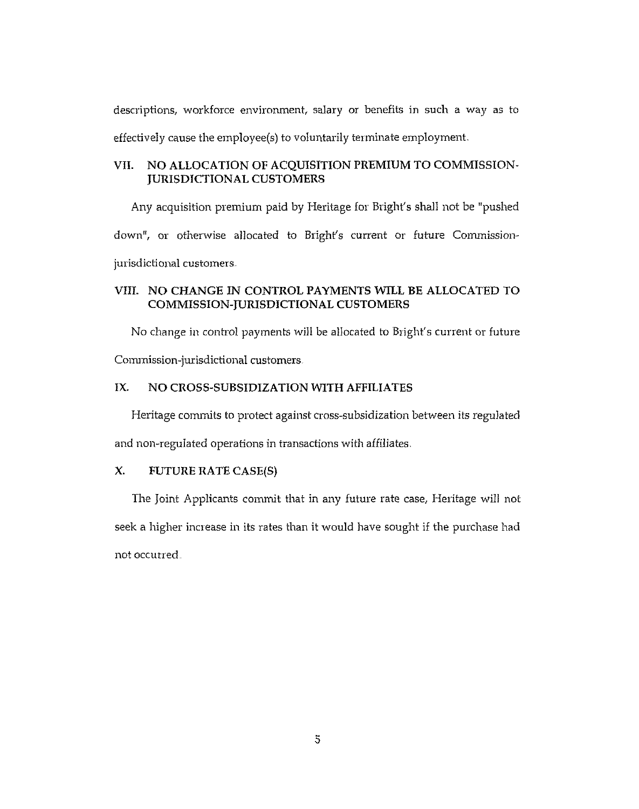descriptions, workforce environment, salary or benefits in such a way as to effectively cause the employee(s} to voluntarily terminate employment.

## VII. NO ALLOCATION OF ACQUISITION PREMIUM TO COMMISSION-JURISDICTIONAL CUSTOMERS

Any acquisition premium paid by Heritage for Bright's shall not be "pushed down", or otherwise allocated to Bright's current or future Commissionjurisdictional customers.

## VIII. NO CHANGE IN CONTROL PAYMENTS WILL BE ALLOCATED TO COMMISSION-JURISDICTIONAL CUSTOMERS

No change in control payments will be allocated to Bright's current or future

Commission-jurisdictional customers.

## IX. NO CROSS-SUBSIDIZATION WITH AFFILIATES

Heritage commits to protect against cross-subsidization between its regulated

and non-regulated operations in transactions with affiliates.

## X. FUTURE RATE CASE(S}

The Joint Applicants commit that in any future rate case, Heritage will not seek a higher increase in its rates than it would have sought if the purchase had not occurred.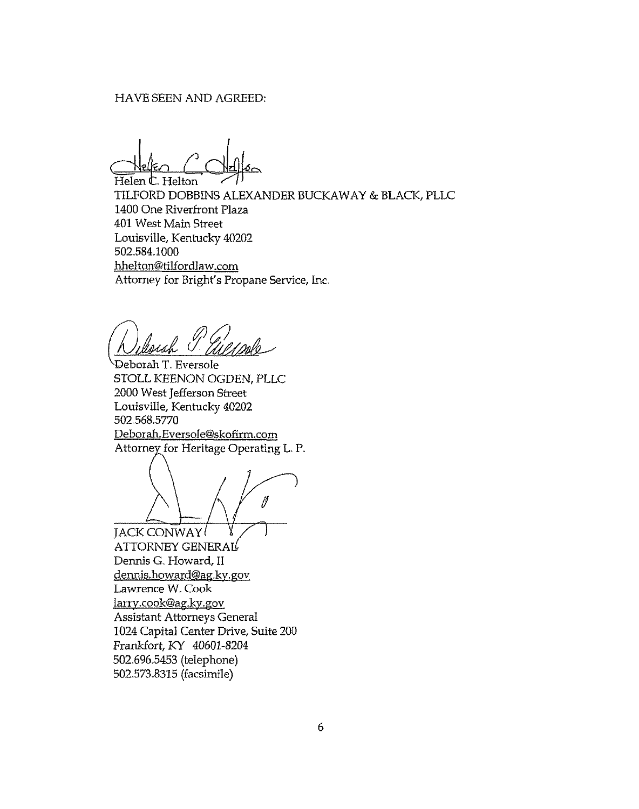#### HAVE SEEN AND AGREED:

Helen C. Helton

TILFORD DOBBINS ALEXANDER BUCKAWAY & BLACK, PLLC 1400 One Riverfront Plaza 401 West Main Street Louisville, Kentucky 40202 502.584.1000 hhelton@tilfordlaw.corn Attorney for Bright's Propane Service, Inc.

Deborah T. Eversole STOLL KEENON OGDEN, PLLC 2000 West Jefferson Street Louisville, Kentucky 40202 502.568.5770 Deborah.Eversole@skofirm.corn Attorney for Heritage Operating L. P.

∥

JACK CONWAY  $ATTORNEY$  GENERAL Dennis G. Howard, II dennis.howard@ag.ky.gov Lawrence W. Cook larrv.cook@ag.kv.gov Assistant Attorneys General 1024 Capital Center Drive, Suite 200 Frankfort, KY 40601-8204 502.696.5453 (telephone) 502.573.8315 (facsimile)